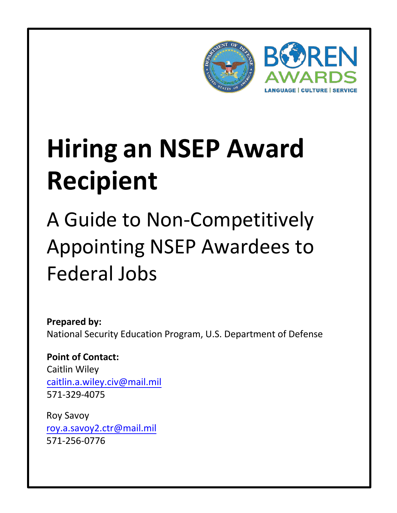

A Guide to Non-Competitively Appointing NSEP Awardees to Federal Jobs

**Prepared by:** National Security Education Program, U.S. Department of Defense

**Point of Contact:** Caitlin Wiley [caitlin.a.wiley.civ@mail.mi](mailto:roy.a.savoy2.ctr@mail.mil)l 571-329-4075

Roy Savoy [roy.a.savoy2.ctr@mail.mil](mailto:roy.a.savoy2.ctr@mail.mil) 571-256-0776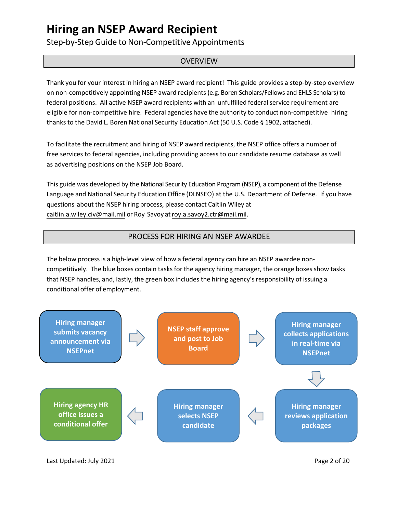Step-by-Step Guide to Non-Competitive Appointments

### **OVERVIEW**

Thank you for your interest in hiring an NSEP award recipient! This guide provides a step-by-step overview on non-competitively appointing NSEP award recipients (e.g. Boren Scholars/Fellows and EHLS Scholars) to federal positions. All active NSEP award recipients with an unfulfilled federal service requirement are eligible for non-competitive hire. Federal agencies have the authority to conduct non-competitive hiring thanks to the David L. Boren National Security Education Act (50 U.S. Code § 1902, attached).

To facilitate the recruitment and hiring of NSEP award recipients, the NSEP office offers a number of free services to federal agencies, including providing access to our candidate resume database as well as advertising positions on the NSEP Job Board.

This guide was developed by the National Security Education Program (NSEP), a component of the Defense Language and National Security Education Office (DLNSEO) at the U.S. Department of Defense. If you have questions about the NSEP hiring process, please contact Caitlin Wiley at [caitlin.a.wiley.civ@mail.mil](mailto:aleia.m.maculam.civ@mail.mil) or Roy Savoy a[troy.a.savoy2.ctr@mail.mil.](mailto:roy.a.savoy2.ctr@mail.mil)

## PROCESS FOR HIRING AN NSEP AWARDEE

The below process is a high-level view of how a federal agency can hire an NSEP awardee noncompetitively. The blue boxes contain tasks for the agency hiring manager, the orange boxes show tasks that NSEP handles, and, lastly, the green box includes the hiring agency's responsibility of issuing a conditional offer of employment.



Last Updated: July 2021 Page 2 of 20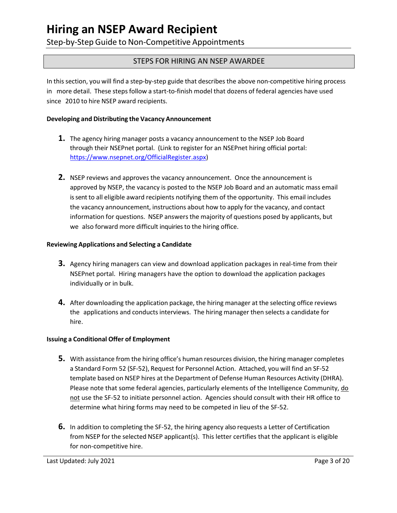Step-by-Step Guide to Non-Competitive Appointments

## STEPS FOR HIRING AN NSEP AWARDEE

In this section, you will find a step-by-step guide that describes the above non-competitive hiring process in more detail. These steps follow a start-to-finish model that dozens of federal agencies have used since 2010 to hire NSEP award recipients.

### **Developing and Distributing the Vacancy Announcement**

- **1.** The agency hiring manager posts a vacancy announcement to the NSEP Job Board through their NSEPnet portal. (Link to register for an NSEPnet hiring official portal: [https://www.nsepnet.org/OfficialRegister.aspx\)](https://www.nsepnet.org/OfficialRegister.aspx)
- **2.** NSEP reviews and approves the vacancy announcement. Once the announcement is approved by NSEP, the vacancy is posted to the NSEP Job Board and an automatic mass email is sent to all eligible award recipients notifying them of the opportunity. This email includes the vacancy announcement, instructions about how to apply for the vacancy, and contact information for questions. NSEP answers the majority of questions posed by applicants, but we also forward more difficult inquiries to the hiring office.

### **Reviewing Applications and Selecting a Candidate**

- **3.** Agency hiring managers can view and download application packages in real-time from their NSEPnet portal. Hiring managers have the option to download the application packages individually or in bulk.
- **4.** After downloading the application package, the hiring manager at the selecting office reviews the applications and conducts interviews. The hiring manager then selects a candidate for hire.

### **Issuing a Conditional Offer of Employment**

- **5.** With assistance from the hiring office's human resources division, the hiring manager completes a Standard Form 52 (SF-52), Request for Personnel Action. Attached, you will find an SF-52 template based on NSEP hires at the Department of Defense Human Resources Activity (DHRA). Please note that some federal agencies, particularly elements of the Intelligence Community, do not use the SF-52 to initiate personnel action. Agencies should consult with their HR office to determine what hiring forms may need to be competed in lieu of the SF-52.
- **6.** In addition to completing the SF-52, the hiring agency also requests a Letter of Certification from NSEP for the selected NSEP applicant(s). This letter certifies that the applicant is eligible for non-competitive hire.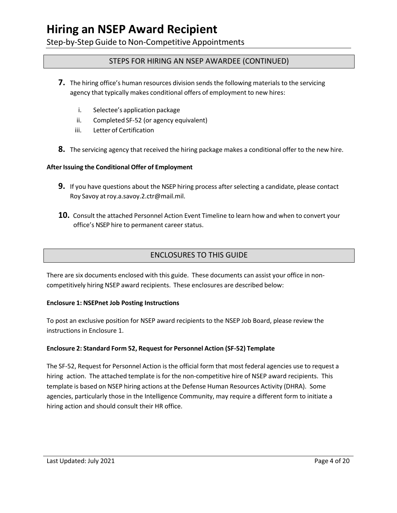Step-by-Step Guide to Non-Competitive Appointments

## STEPS FOR HIRING AN NSEP AWARDEE (CONTINUED)

- **7.** The hiring office's human resources division sends the following materials to the servicing agency that typically makes conditional offers of employment to new hires:
	- i. Selectee's application package
	- ii. Completed SF-52 (or agency equivalent)
	- iii. Letter of Certification
- **8.** The servicing agency that received the hiring package makes a conditional offer to the new hire.

### **After Issuing the Conditional Offer of Employment**

- **9.** If you have questions about the NSEP hiring process after selecting a candidate, please contact Roy Savoy a[troy.a.savoy.2.ctr@mail.mil.](mailto:roy.a.savoy.2.ctr@mail.mil)
- **10.** Consult the attached Personnel Action Event Timeline to learn how and when to convert your office's NSEP hire to permanent career status.

## ENCLOSURES TO THIS GUIDE

There are six documents enclosed with this guide. These documents can assist your office in noncompetitively hiring NSEP award recipients. These enclosures are described below:

### **Enclosure 1: NSEPnet Job Posting Instructions**

To post an exclusive position for NSEP award recipients to the NSEP Job Board, please review the instructions in Enclosure 1.

### **Enclosure 2: Standard Form 52, Request for Personnel Action (SF-52) Template**

The SF-52, Request for Personnel Action is the official form that most federal agencies use to request a hiring action. The attached template is for the non-competitive hire of NSEP award recipients. This template is based on NSEP hiring actions at the Defense Human Resources Activity (DHRA). Some agencies, particularly those in the Intelligence Community, may require a different form to initiate a hiring action and should consult their HR office.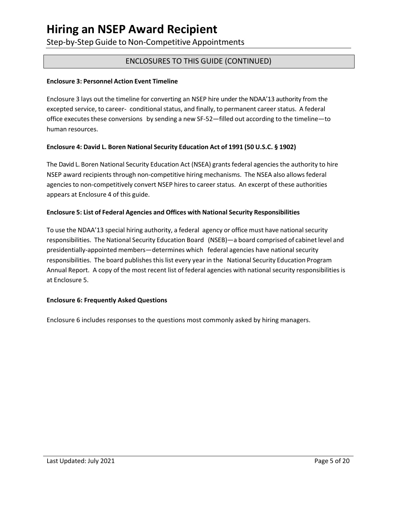Step-by-Step Guide to Non-Competitive Appointments

## ENCLOSURES TO THIS GUIDE (CONTINUED)

### **Enclosure 3: Personnel Action Event Timeline**

Enclosure 3 lays out the timeline for converting an NSEP hire under the NDAA'13 authority from the excepted service, to career- conditional status, and finally, to permanent career status. A federal office executes these conversions by sending a new SF-52—filled out according to the timeline—to human resources.

### **Enclosure 4: David L. Boren National Security Education Act of 1991 (50 U.S.C. § 1902)**

The David L. Boren National Security Education Act (NSEA) grants federal agencies the authority to hire NSEP award recipients through non-competitive hiring mechanisms. The NSEA also allows federal agencies to non-competitively convert NSEP hires to career status. An excerpt of these authorities appears at Enclosure 4 of this guide.

### **Enclosure 5: List of Federal Agencies and Offices with National Security Responsibilities**

To use the NDAA'13 special hiring authority, a federal agency or office must have nationalsecurity responsibilities. The National Security Education Board (NSEB)—a board comprised of cabinet level and presidentially-appointed members—determines which federal agencies have national security responsibilities. The board publishes this list every year in the National Security Education Program Annual Report. A copy of the most recent list of federal agencies with national security responsibilities is at Enclosure 5.

### **Enclosure 6: Frequently Asked Questions**

Enclosure 6 includes responses to the questions most commonly asked by hiring managers.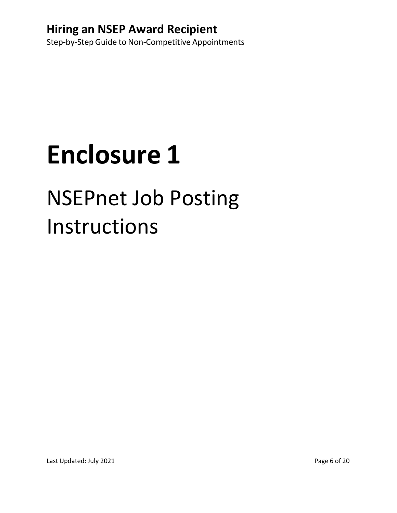# NSEPnet Job Posting Instructions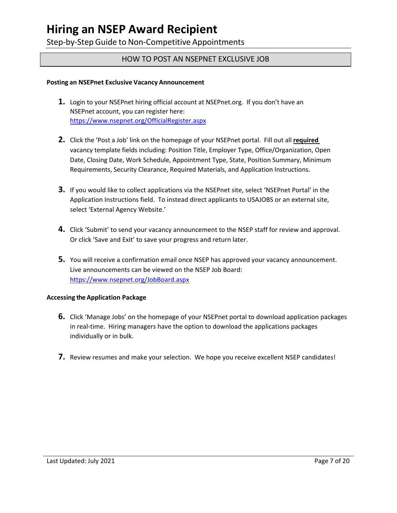Step-by-Step Guide to Non-Competitive Appointments

### HOW TO POST AN NSEPNET EXCLUSIVE JOB

### **Posting an NSEPnet Exclusive Vacancy Announcement**

- **1.** Login to your NSEPnet hiring official account at NSEPnet.org. If you don't have an NSEPnet account, you can register here: <https://www.nsepnet.org/OfficialRegister.aspx>
- **2.** Click the 'Post a Job' link on the homepage of your NSEPnet portal. Fill out all **required** vacancy template fields including: Position Title, Employer Type, Office/Organization, Open Date, Closing Date, Work Schedule, Appointment Type, State, Position Summary, Minimum Requirements, Security Clearance, Required Materials, and Application Instructions.
- **3.** If you would like to collect applications via the NSEPnet site, select 'NSEPnet Portal' in the Application Instructions field. To instead direct applicants to USAJOBS or an external site, select 'External Agency Website.'
- **4.** Click 'Submit' to send your vacancy announcement to the NSEP staff for review and approval. Or click 'Save and Exit' to save your progress and return later.
- **5.** You will receive a confirmation email once NSEP has approved your vacancy announcement. Live announcements can be viewed on the NSEP Job Board: <https://www.nsepnet.org/JobBoard.aspx>

### **Accessing the Application Package**

- **6.** Click 'Manage Jobs' on the homepage of your NSEPnet portal to download application packages in real-time. Hiring managers have the option to download the applications packages individually or in bulk.
- **7.** Review resumes and make your selection. We hope you receive excellent NSEP candidates!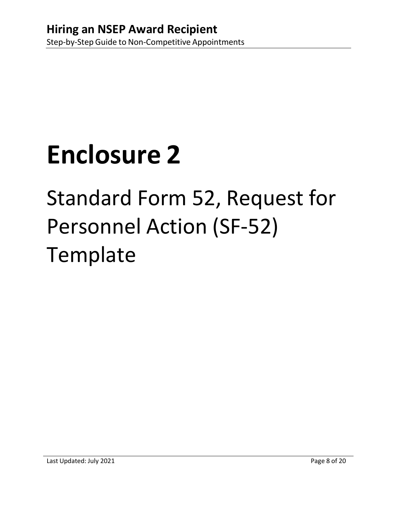# Standard Form 52, Request for Personnel Action (SF-52) **Template**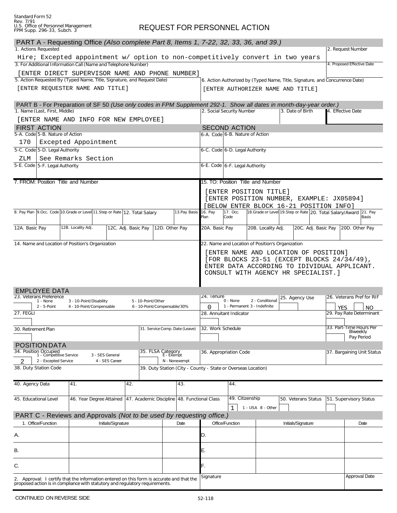## REQUEST FOR PERSONNEL ACTION

| PART A - Requesting Office (Also complete Part 8, Items 1, 7-22, 32, 33, 36, and 39.)                                                            |                          |                     |                              |                                 |                                                  |                                                                                             |                                                               |                                                  |                                                                              |                                                                    |                                       |
|--------------------------------------------------------------------------------------------------------------------------------------------------|--------------------------|---------------------|------------------------------|---------------------------------|--------------------------------------------------|---------------------------------------------------------------------------------------------|---------------------------------------------------------------|--------------------------------------------------|------------------------------------------------------------------------------|--------------------------------------------------------------------|---------------------------------------|
| 1. Actions Requested                                                                                                                             |                          |                     |                              |                                 |                                                  |                                                                                             |                                                               |                                                  |                                                                              |                                                                    | 2. Request Number                     |
| Hire; Excepted appointment w/ option to non-competitively convert in two years<br>3. For Additional Information Call (Name and Telephone Number) |                          |                     |                              |                                 |                                                  |                                                                                             |                                                               |                                                  |                                                                              |                                                                    | 4. Proposed Effective Date            |
| [ENTER DIRECT SUPERVISOR NAME AND PHONE NUMBER]                                                                                                  |                          |                     |                              |                                 |                                                  |                                                                                             |                                                               |                                                  |                                                                              |                                                                    |                                       |
| 5. Action Requested By (Typed Name, Title, Signature, and Request Date)                                                                          |                          |                     |                              |                                 |                                                  |                                                                                             |                                                               |                                                  | 6. Action Authorized by (Typed Name, Title, Signature, and Concurrence Date) |                                                                    |                                       |
| [ENTER REQUESTER NAME AND TITLE]                                                                                                                 |                          |                     |                              |                                 |                                                  |                                                                                             |                                                               |                                                  | [ENTER AUTHORIZER NAME AND TITLE]                                            |                                                                    |                                       |
|                                                                                                                                                  |                          |                     |                              |                                 |                                                  |                                                                                             |                                                               |                                                  |                                                                              |                                                                    |                                       |
| PART B - For Preparation of SF 50 (Use only codes in FPM Supplement 292-1. Show all dates in month-day-year order.)                              |                          |                     |                              |                                 |                                                  |                                                                                             |                                                               |                                                  |                                                                              |                                                                    |                                       |
| 1. Name (Last, First, Middle)                                                                                                                    |                          |                     |                              |                                 |                                                  |                                                                                             | 2. Social Security Number                                     |                                                  | 3. Date of Birth                                                             |                                                                    | 4. Effective Date                     |
| [ENTER NAME AND INFO FOR NEW EMPLOYEE]                                                                                                           |                          |                     |                              |                                 |                                                  |                                                                                             |                                                               |                                                  |                                                                              |                                                                    |                                       |
| <b>FIRST ACTION</b>                                                                                                                              |                          |                     |                              |                                 |                                                  | <b>SECOND ACTION</b>                                                                        |                                                               |                                                  |                                                                              |                                                                    |                                       |
| 5-A. Code 5-B. Nature of Action                                                                                                                  |                          |                     |                              |                                 |                                                  | 6-A. Code 6-B. Nature of Action                                                             |                                                               |                                                  |                                                                              |                                                                    |                                       |
| 170                                                                                                                                              | Excepted Appointment     |                     |                              |                                 |                                                  | 6-C. Code 6-D. Legal Authority                                                              |                                                               |                                                  |                                                                              |                                                                    |                                       |
| 5-C. Code 5-D. Legal Authority                                                                                                                   |                          |                     |                              |                                 |                                                  |                                                                                             |                                                               |                                                  |                                                                              |                                                                    |                                       |
| ZLM<br>5-E. Code 5-F. Legal Authority                                                                                                            | See Remarks Section      |                     |                              |                                 |                                                  | 6-E. Code 6-F. Legal Authority                                                              |                                                               |                                                  |                                                                              |                                                                    |                                       |
|                                                                                                                                                  |                          |                     |                              |                                 |                                                  |                                                                                             |                                                               |                                                  |                                                                              |                                                                    |                                       |
| 7. FROM: Position Title and Number                                                                                                               |                          |                     |                              |                                 |                                                  |                                                                                             |                                                               | 15. TO: Position Title and Number                |                                                                              |                                                                    |                                       |
|                                                                                                                                                  |                          |                     |                              |                                 |                                                  |                                                                                             |                                                               |                                                  |                                                                              |                                                                    |                                       |
|                                                                                                                                                  |                          |                     |                              |                                 |                                                  |                                                                                             |                                                               | [ENTER POSITION TITLE]                           |                                                                              | [ENTER POSITION NUMBER, EXAMPLE: JX05894]                          |                                       |
|                                                                                                                                                  |                          |                     |                              |                                 |                                                  |                                                                                             |                                                               |                                                  |                                                                              | [BELOW ENTER BLOCK 16-21 POSITION INFO]                            |                                       |
| 8. Pay Plan 9. Occ. Code 10. Grade or Level 11. Step or Rate 12. Total Salary                                                                    |                          |                     |                              |                                 | 13. Pay Basis                                    | 16. Pay                                                                                     | 17. Occ.                                                      |                                                  |                                                                              | 18. Grade or Level 19. Step or Rate 20. Total Salary/Award 21. Pay |                                       |
|                                                                                                                                                  |                          |                     |                              |                                 |                                                  | Plan                                                                                        | Code                                                          |                                                  |                                                                              |                                                                    | <b>Basis</b>                          |
| 12A. Basic Pay                                                                                                                                   | 12B. Locality Adj.       | 12C. Adj. Basic Pay |                              | 12D. Other Pay                  |                                                  | 20A. Basic Pay                                                                              |                                                               | 20B. Locality Adj.                               |                                                                              | 20C. Adj. Basic Pay                                                | 20D. Other Pay                        |
|                                                                                                                                                  |                          |                     |                              |                                 |                                                  |                                                                                             |                                                               |                                                  |                                                                              |                                                                    |                                       |
| 14. Name and Location of Position's Organization                                                                                                 |                          |                     |                              |                                 |                                                  |                                                                                             |                                                               | 22. Name and Location of Position's Organization |                                                                              |                                                                    |                                       |
|                                                                                                                                                  |                          |                     |                              |                                 |                                                  |                                                                                             |                                                               |                                                  |                                                                              | [ENTER NAME AND LOCATION OF POSITION]                              |                                       |
|                                                                                                                                                  |                          |                     |                              |                                 |                                                  | [FOR BLOCKS 23-51 (EXCEPT BLOCKS 24/34/49),<br>ENTER DATA ACCORDING TO IDIVIDUAL APPLICANT. |                                                               |                                                  |                                                                              |                                                                    |                                       |
|                                                                                                                                                  |                          |                     |                              |                                 |                                                  |                                                                                             |                                                               |                                                  |                                                                              | CONSULT WITH AGENCY HR SPECIALIST.]                                |                                       |
|                                                                                                                                                  |                          |                     |                              |                                 |                                                  |                                                                                             |                                                               |                                                  |                                                                              |                                                                    |                                       |
|                                                                                                                                                  |                          |                     |                              |                                 |                                                  |                                                                                             |                                                               |                                                  |                                                                              |                                                                    |                                       |
| <b>EMPLOYEE DATA</b><br>23. Veterans Preference                                                                                                  |                          |                     |                              |                                 |                                                  | 24. Ienure                                                                                  |                                                               |                                                  | 25. Agency Use                                                               |                                                                    | 26. Veterans Pref for RIF             |
| 1 - None<br>$2 - 5$ -Point                                                                                                                       | 3 - 10-Point/Disability  |                     | 5 - 10-Point/Other           |                                 |                                                  | 2 - Conditional<br>0 - None<br>1 - Permanent 3 - Indefinite                                 |                                                               |                                                  |                                                                              |                                                                    |                                       |
| 27. FEGLI                                                                                                                                        | 4 - 10-Point/Compensable |                     | 6 - 10-Point/Compensable/30% |                                 |                                                  | 0<br>28. Annuitant Indicator                                                                |                                                               |                                                  |                                                                              | <b>YES</b>                                                         | <b>NO</b><br>29. Pay Rate Determinant |
|                                                                                                                                                  |                          |                     |                              |                                 |                                                  |                                                                                             |                                                               |                                                  |                                                                              |                                                                    |                                       |
| 30. Retirement Plan                                                                                                                              |                          |                     |                              |                                 | 31. Service Comp. Date (Leave) 32. Work Schedule |                                                                                             |                                                               |                                                  |                                                                              |                                                                    | 33. Part-Time Hours Per               |
|                                                                                                                                                  |                          |                     |                              |                                 |                                                  |                                                                                             |                                                               |                                                  |                                                                              |                                                                    | <b>BIMEERIV</b><br>Pay Period         |
| POSITION DATA                                                                                                                                    |                          |                     |                              |                                 |                                                  |                                                                                             |                                                               |                                                  |                                                                              |                                                                    |                                       |
| 34. Position Occupied<br>1 - Competitive Service                                                                                                 | 3 - SES General          |                     |                              | 35. FLSA Category<br>E - Exempt |                                                  |                                                                                             | 36. Appropriation Code                                        |                                                  |                                                                              |                                                                    | 37. Bargaining Unit Status            |
| 2 - Excepted Service                                                                                                                             |                          | 4 - SES Career      |                              |                                 | N - Nonexempt                                    |                                                                                             |                                                               |                                                  |                                                                              |                                                                    |                                       |
| 38. Duty Station Code                                                                                                                            |                          |                     |                              |                                 |                                                  |                                                                                             | 39. Duty Station (City - County - State or Overseas Location) |                                                  |                                                                              |                                                                    |                                       |
|                                                                                                                                                  |                          |                     |                              |                                 |                                                  |                                                                                             |                                                               |                                                  |                                                                              |                                                                    |                                       |
| 40. Agency Data                                                                                                                                  | 41.                      |                     | 42.                          |                                 | 43.                                              |                                                                                             | 44.                                                           |                                                  |                                                                              |                                                                    |                                       |
|                                                                                                                                                  |                          |                     |                              |                                 |                                                  |                                                                                             |                                                               |                                                  |                                                                              |                                                                    |                                       |
| 45. Educational Level                                                                                                                            | 46. Year Degree Attained |                     |                              |                                 | 47. Academic Discipline 48. Functional Class     |                                                                                             | 49. Citizenship                                               |                                                  | 50. Veterans Status                                                          |                                                                    | 51. Supervisory Status                |
|                                                                                                                                                  |                          |                     |                              |                                 |                                                  |                                                                                             | 1                                                             | 1 - USA 8 - Other                                |                                                                              |                                                                    |                                       |
| PART C - Reviews and Approvals (Not to be used by requesting office.)                                                                            |                          |                     |                              |                                 |                                                  |                                                                                             |                                                               |                                                  |                                                                              |                                                                    |                                       |
| 1. Office/Function                                                                                                                               |                          | Initials/Signature  |                              |                                 | Date                                             |                                                                                             | Office/Function                                               |                                                  | Initials/Signature                                                           |                                                                    | Date                                  |
| А.                                                                                                                                               |                          |                     |                              |                                 |                                                  | D.                                                                                          |                                                               |                                                  |                                                                              |                                                                    |                                       |
|                                                                                                                                                  |                          |                     |                              |                                 |                                                  |                                                                                             |                                                               |                                                  |                                                                              |                                                                    |                                       |
| В.                                                                                                                                               |                          |                     |                              |                                 |                                                  | Е.                                                                                          |                                                               |                                                  |                                                                              |                                                                    |                                       |
|                                                                                                                                                  |                          |                     |                              |                                 |                                                  |                                                                                             |                                                               |                                                  |                                                                              |                                                                    |                                       |
| C.                                                                                                                                               |                          |                     |                              |                                 |                                                  | F.                                                                                          |                                                               |                                                  |                                                                              |                                                                    |                                       |
| 2. Approval: I certify that the information entered on this form is accurate and that the                                                        |                          |                     |                              |                                 |                                                  | Signature                                                                                   |                                                               |                                                  |                                                                              |                                                                    | Approval Date                         |
| proposed action is in compliance with statutory and regulatory requirements.                                                                     |                          |                     |                              |                                 |                                                  |                                                                                             |                                                               |                                                  |                                                                              |                                                                    |                                       |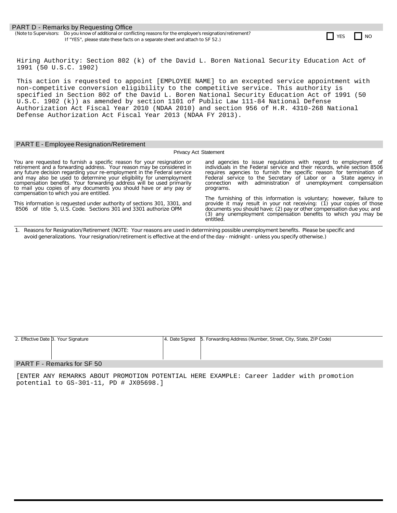#### **PART D - Remarks by Requesting Office**

(Note to Supervisors: Do you know of additional or conflicting reasons for the employee's resignation/retirement? Do you know of additional or conflicting reasons for the employee's resignation/retirement?<br>If "YES", please state these facts on a separate sheet and attach to SF 52.)

Hiring Authority: Section 802 (k) of the David L. Boren National Security Education Act of 1991 (50 U.S.C. 1902)

This action is requested to appoint [EMPLOYEE NAME] to an excepted service appointment with non-competitive conversion eligibility to the competitive service. This authority is specified in Section 802 of the David L. Boren National Security Education Act of 1991 (50 U.S.C. 1902 (k)) as amended by section 1101 of Public Law 111-84 National Defense Authorization Act Fiscal Year 2010 (NDAA 2010) and section 956 of H.R. 4310-268 National Defense Authorization Act Fiscal Year 2013 (NDAA FY 2013).

#### PART E - Employee Resignation/Retirement

#### Privacy Act Statement

You are requested to furnish a specific reason for your resignation or retirement and a forwarding address. Your reason may be considered in any future decision regarding your re-employment in the Federal service and may also be used to determine your eligibility for unemployment compensation benefits. Your forwarding address will be used primarily to mail you copies of any documents you should have or any pay or compensation to which you are entitled.

This information is requested under authority of sections 301, 3301, and 8506 of title 5, U.S. Code. Sections 301 and 3301 authorize OPM

and agencies to issue regulations with regard to employment individuals in the Federal service and their records, while section 8506 requires agencies to furnish the specific reason for termination of Federal service to the Secretary of Labor or a State agency in connection with administration of unemployment compensation programs.

The furnishing of this information is voluntary; however, failure to provide it may result in your not receiving: (1) your copies of those documents you should have; (2) pay or other compensation due you; and (3) any unemployment compensation benefits to which you may be entitled.

1. Reasons for Resignation/Retirement (NOTE: Your reasons are used in determining possible unemployment benefits. Please be specific and avoid generalizations. Your resignation/retirement is effective at the end ofthe day - midnight - unless you specify otherwise.)

| 2. Effective Date 3. Your Signature                                                                                                                                          | [4. Date Signed   5. Forwarding Address (Number, Street, City, State, ZIP Code) |
|------------------------------------------------------------------------------------------------------------------------------------------------------------------------------|---------------------------------------------------------------------------------|
|                                                                                                                                                                              |                                                                                 |
|                                                                                                                                                                              |                                                                                 |
|                                                                                                                                                                              |                                                                                 |
| $\mathsf{D}\Lambda\mathsf{D}\mathsf{T}\mathsf{F}$ $\mathsf{D}\mathsf{S}\mathsf{m}\mathsf{S}\mathsf{m}$ $\mathsf{L}\mathsf{S}\mathsf{L}\mathsf{S}\mathsf{F}\mathsf{F}\Lambda$ |                                                                                 |

#### PART  $F -$  Remarks for SF 50

[ENTER ANY REMARKS ABOUT PROMOTION POTENTIAL HERE EXAMPLE: Career ladder with promotion potential to GS-301-11, PD # JX05698.]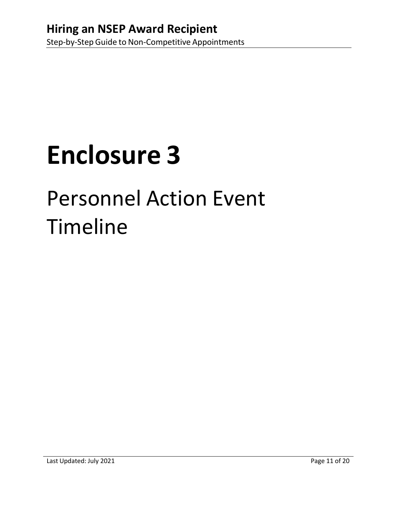## Personnel Action Event Timeline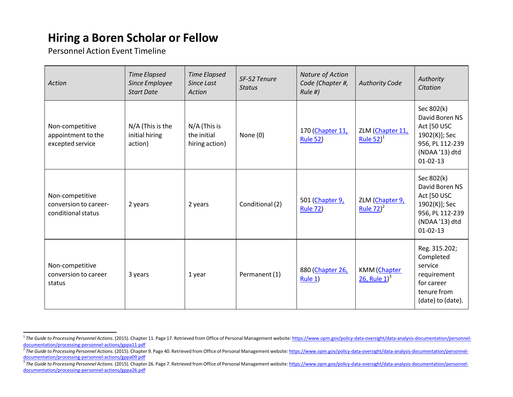## **Hiring a Boren Scholar or Fellow**

Personnel Action Event Timeline

| Action                                                         | <b>Time Elapsed</b><br>Since Employee<br><b>Start Date</b> | <b>Time Elapsed</b><br>Since Last<br>Action     | SF-52 Tenure<br><b>Status</b> | Nature of Action<br>Code (Chapter #,<br>Rule #) | <b>Authority Code</b>            | Authority<br>Citation                                                                                               |
|----------------------------------------------------------------|------------------------------------------------------------|-------------------------------------------------|-------------------------------|-------------------------------------------------|----------------------------------|---------------------------------------------------------------------------------------------------------------------|
| Non-competitive<br>appointment to the<br>excepted service      | N/A (This is the<br>initial hiring<br>action)              | $N/A$ (This is<br>the initial<br>hiring action) | None (0)                      | 170 (Chapter 11,<br><b>Rule 52)</b>             | ZLM (Chapter 11,<br>Rule $52)^1$ | Sec 802(k)<br>David Boren NS<br>Act [50 USC<br>1902(K)]; Sec<br>956, PL 112-239<br>(NDAA '13) dtd<br>$01 - 02 - 13$ |
| Non-competitive<br>conversion to career-<br>conditional status | 2 years                                                    | 2 years                                         | Conditional (2)               | 501 (Chapter 9,<br><b>Rule 72)</b>              | ZLM (Chapter 9,<br>Rule $72)^2$  | Sec 802(k)<br>David Boren NS<br>Act [50 USC<br>1902(K)]; Sec<br>956, PL 112-239<br>(NDAA '13) dtd<br>$01 - 02 - 13$ |
| Non-competitive<br>conversion to career<br>status              | 3 years                                                    | 1 year                                          | Permanent (1)                 | 880 (Chapter 26,<br>Rule 1)                     | KMM (Chapter<br>26, Rule $1^3$   | Reg. 315.202;<br>Completed<br>service<br>requirement<br>for career<br>tenure from<br>(date) to (date).              |

<sup>&</sup>lt;sup>1</sup> The Guide to Processing Personnel Actions. (2015). Chapter 11. Page 17. Retrieved from Office of Personal Management website[: https://www.opm.gov/policy-](http://www.opm.gov/policy)data-oversight/data-analysis-documentation/personneldocumentation/processing-personnel-actions/gppa11.pdf

<sup>&</sup>lt;sup>2</sup> The Guide to Processing Personnel Actions. (2015). Chapter 9. Page 40. Retrieved from Office of Personal Management website: [https://www.opm.gov/policy-](http://www.opm.gov/policy)data-oversight/data-analysis-documentation/personneldocumentation/processing-personnel-actions/gppa09.pdf

<sup>&</sup>lt;sup>3</sup>The Guide to Processing Personnel Actions. (2015). Chapter 26. Page 7. Retrieved from Office of Personal Management website: [https://www.opm.gov/policy-](http://www.opm.gov/policy)data-oversight/data-analysis-documentation/personneldocumentation/processing-personnel-actions/gppa26.pdf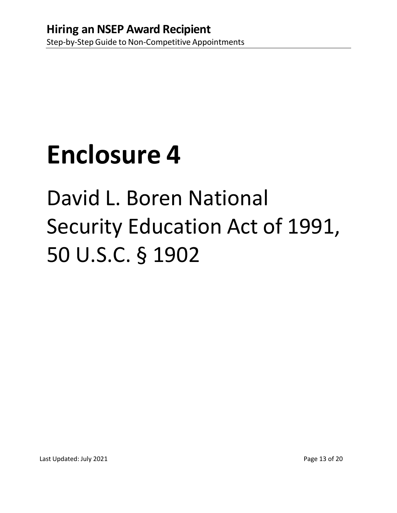# David L. Boren National Security Education Act of 1991, 50 U.S.C. § 1902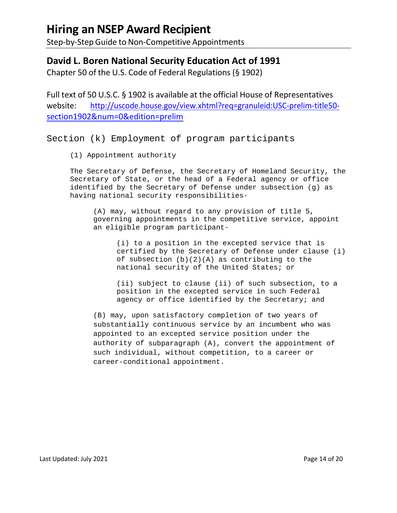Step-by-Step Guide to Non-Competitive Appointments

## **David L. Boren National Security Education Act of 1991**

Chapter 50 of the U.S. Code of Federal Regulations (§ 1902)

Full text of 50 U.S.C. § 1902 is available at the official House of Representatives website: [http://uscode.house.gov/view.xhtml?req=granuleid:USC-prelim-title50](http://uscode.house.gov/view.xhtml?req=granuleid%3AUSC-prelim-title50-section1902&num=0&edition=prelim) [section1902&num=0&edition=prelim](http://uscode.house.gov/view.xhtml?req=granuleid%3AUSC-prelim-title50-section1902&num=0&edition=prelim)

Section (k) Employment of program participants

(1) Appointment authority

The Secretary of Defense, the Secretary of Homeland Security, the Secretary of State, or the head of a Federal agency or office identified by the Secretary of Defense under subsection (g) as having national security responsibilities-

(A) may, without regard to any provision of title 5, governing appointments in the competitive service, appoint an eligible program participant-

(i) to a position in the excepted service that is certified by the Secretary of Defense under clause (i) of subsection  $(b)(2)(A)$  as contributing to the national security of the United States; or

(ii) subject to clause (ii) of such subsection, to a position in the excepted service in such Federal agency or office identified by the Secretary; and

(B) may, upon satisfactory completion of two years of substantially continuous service by an incumbent who was appointed to an excepted service position under the authority of subparagraph (A), convert the appointment of such individual, without competition, to a career or career-conditional appointment.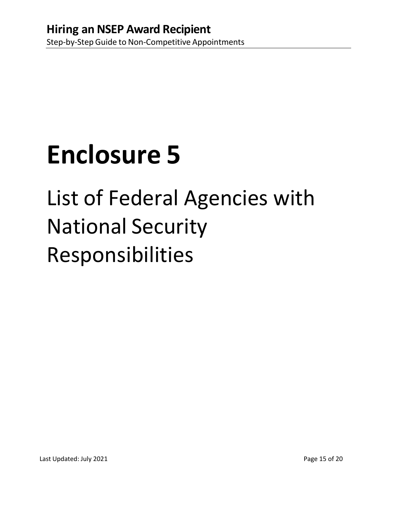# List of Federal Agencies with National Security Responsibilities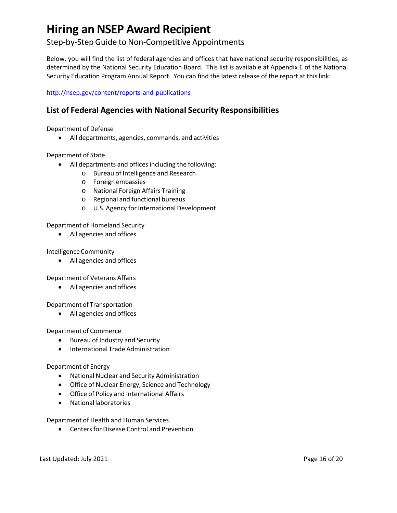## Step-by-Step Guide to Non-Competitive Appointments

Below, you will find the list of federal agencies and offices that have national security responsibilities, as determined by the National Security Education Board. This list is available at Appendix E of the National Security Education Program Annual Report. You can find the latest release of the report at this link:

### <http://nsep.gov/content/reports-and-publications>

## **List of Federal Agencies with National Security Responsibilities**

Department of Defense

• All departments, agencies, commands, and activities

### Department of State

- All departments and offices including the following:
	- o Bureau of Intelligence and Research
	- o Foreign embassies
	- o National Foreign Affairs Training
	- o Regional and functional bureaus
	- o U.S. Agency for International Development

### Department of Homeland Security

• All agencies and offices

### IntelligenceCommunity

• All agencies and offices

Department of Veterans Affairs

• All agencies and offices

Department of Transportation

• All agencies and offices

### Department of Commerce

- Bureau of Industry and Security
- International Trade Administration

### Department of Energy

- National Nuclear and Security Administration
- Office of Nuclear Energy, Science and Technology
- Office of Policy and International Affairs
- National laboratories

### Department of Health and Human Services

• Centers for Disease Control and Prevention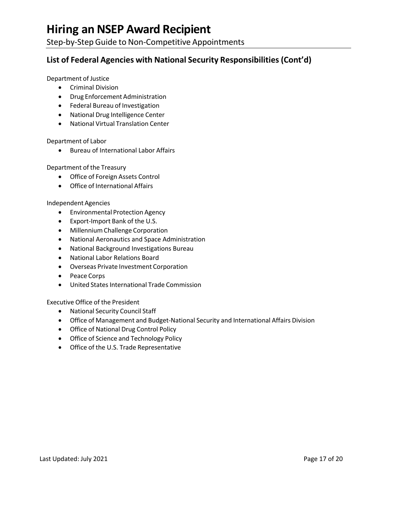Step-by-Step Guide to Non-Competitive Appointments

## **List of Federal Agencies with National Security Responsibilities (Cont'd)**

Department of Justice

- Criminal Division
- Drug Enforcement Administration
- Federal Bureau of Investigation
- National Drug Intelligence Center
- National Virtual Translation Center

Department of Labor

• Bureau of International Labor Affairs

Department of the Treasury

- Office of Foreign Assets Control
- Office of International Affairs

IndependentAgencies

- Environmental Protection Agency
- Export-Import Bank of the U.S.
- MillenniumChallenge Corporation
- National Aeronautics and Space Administration
- National Background Investigations Bureau
- National Labor Relations Board
- Overseas Private Investment Corporation
- Peace Corps
- United States International Trade Commission

Executive Office of the President

- National Security Council Staff
- Office of Management and Budget-National Security and International Affairs Division
- Office of National Drug Control Policy
- Office of Science and Technology Policy
- Office of the U.S. Trade Representative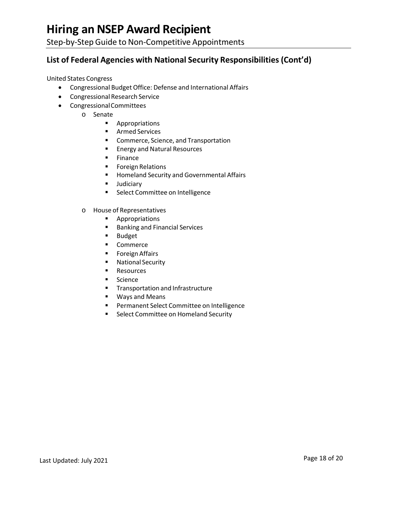Step-by-Step Guide to Non-Competitive Appointments

## **List of Federal Agencies with National Security Responsibilities (Cont'd)**

United States Congress

- Congressional Budget Office: Defense and International Affairs
- Congressional Research Service
- CongressionalCommittees
	- o Senate
		- **Appropriations**
		- Armed Services
		- **E** Commerce, Science, and Transportation
		- **Energy and Natural Resources**
		- **Finance**
		- **Foreign Relations**
		- **Homeland Security and Governmental Affairs**
		- **Judiciary**
		- **Select Committee on Intelligence**
	- o House of Representatives
		- **-** Appropriations
		- **Banking and Financial Services**
		- **Budget**
		- **•** Commerce
		- **Foreign Affairs**
		- **National Security**
		- **Resources**
		- **Science**
		- **Transportation and Infrastructure**
		- Ways and Means
		- **Permanent Select Committee on Intelligence**
		- **Select Committee on Homeland Security**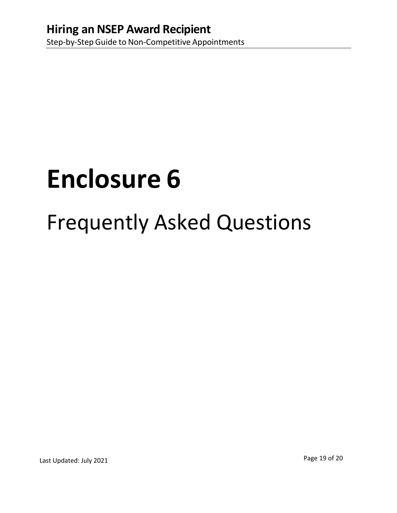## Frequently Asked Questions